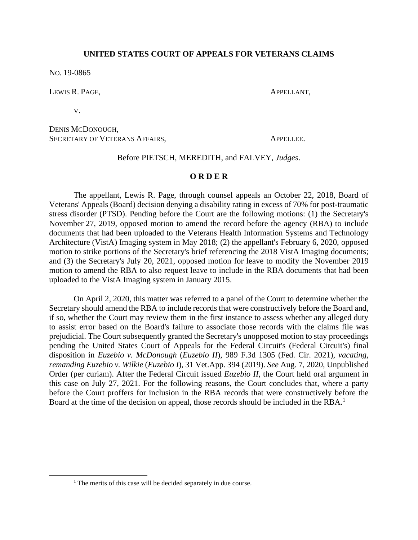## **UNITED STATES COURT OF APPEALS FOR VETERANS CLAIMS**

NO. 19-0865

LEWIS R. PAGE, APPELLANT,

V.

DENIS MCDONOUGH, SECRETARY OF VETERANS AFFAIRS, APPELLEE.

## Before PIETSCH, MEREDITH, and FALVEY, *Judges*.

## **O R D E R**

The appellant, Lewis R. Page, through counsel appeals an October 22, 2018, Board of Veterans' Appeals (Board) decision denying a disability rating in excess of 70% for post-traumatic stress disorder (PTSD). Pending before the Court are the following motions: (1) the Secretary's November 27, 2019, opposed motion to amend the record before the agency (RBA) to include documents that had been uploaded to the Veterans Health Information Systems and Technology Architecture (VistA) Imaging system in May 2018; (2) the appellant's February 6, 2020, opposed motion to strike portions of the Secretary's brief referencing the 2018 VistA Imaging documents; and (3) the Secretary's July 20, 2021, opposed motion for leave to modify the November 2019 motion to amend the RBA to also request leave to include in the RBA documents that had been uploaded to the VistA Imaging system in January 2015.

On April 2, 2020, this matter was referred to a panel of the Court to determine whether the Secretary should amend the RBA to include records that were constructively before the Board and, if so, whether the Court may review them in the first instance to assess whether any alleged duty to assist error based on the Board's failure to associate those records with the claims file was prejudicial. The Court subsequently granted the Secretary's unopposed motion to stay proceedings pending the United States Court of Appeals for the Federal Circuit's (Federal Circuit's) final disposition in *Euzebio v. McDonough* (*Euzebio II*), 989 F.3d 1305 (Fed. Cir. 2021), *vacating, remanding Euzebio v. Wilkie* (*Euzebio I*), 31 Vet.App. 394 (2019). *See* Aug. 7, 2020, Unpublished Order (per curiam). After the Federal Circuit issued *Euzebio II*, the Court held oral argument in this case on July 27, 2021. For the following reasons, the Court concludes that, where a party before the Court proffers for inclusion in the RBA records that were constructively before the Board at the time of the decision on appeal, those records should be included in the RBA.<sup>1</sup>

<sup>&</sup>lt;sup>1</sup> The merits of this case will be decided separately in due course.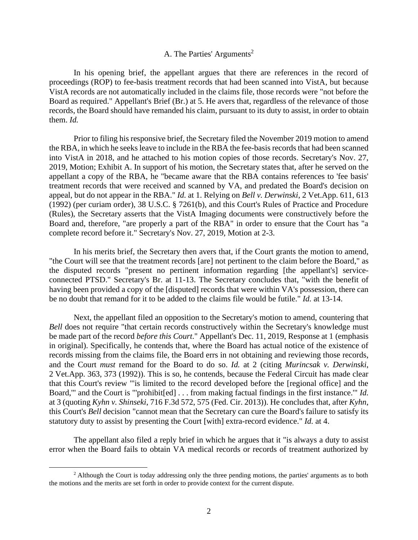# A. The Parties' Arguments<sup>2</sup>

In his opening brief, the appellant argues that there are references in the record of proceedings (ROP) to fee-basis treatment records that had been scanned into VistA, but because VistA records are not automatically included in the claims file, those records were "not before the Board as required." Appellant's Brief (Br.) at 5. He avers that, regardless of the relevance of those records, the Board should have remanded his claim, pursuant to its duty to assist, in order to obtain them. *Id.*

Prior to filing his responsive brief, the Secretary filed the November 2019 motion to amend the RBA, in which he seeks leave to include in the RBA the fee-basis records that had been scanned into VistA in 2018, and he attached to his motion copies of those records. Secretary's Nov. 27, 2019, Motion; Exhibit A. In support of his motion, the Secretary states that, after he served on the appellant a copy of the RBA, he "became aware that the RBA contains references to 'fee basis' treatment records that were received and scanned by VA, and predated the Board's decision on appeal, but do not appear in the RBA." *Id.* at 1. Relying on *Bell v. Derwinski*, 2 Vet.App. 611, 613 (1992) (per curiam order), 38 U.S.C. § 7261(b), and this Court's Rules of Practice and Procedure (Rules), the Secretary asserts that the VistA Imaging documents were constructively before the Board and, therefore, "are properly a part of the RBA" in order to ensure that the Court has "a complete record before it." Secretary's Nov. 27, 2019, Motion at 2-3.

In his merits brief, the Secretary then avers that, if the Court grants the motion to amend, "the Court will see that the treatment records [are] not pertinent to the claim before the Board," as the disputed records "present no pertinent information regarding [the appellant's] serviceconnected PTSD." Secretary's Br. at 11-13. The Secretary concludes that, "with the benefit of having been provided a copy of the [disputed] records that were within VA's possession, there can be no doubt that remand for it to be added to the claims file would be futile." *Id.* at 13-14.

Next, the appellant filed an opposition to the Secretary's motion to amend, countering that *Bell* does not require "that certain records constructively within the Secretary's knowledge must be made part of the record *before this Court*." Appellant's Dec. 11, 2019, Response at 1 (emphasis in original). Specifically, he contends that, where the Board has actual notice of the existence of records missing from the claims file, the Board errs in not obtaining and reviewing those records, and the Court *must* remand for the Board to do so. *Id.* at 2 (citing *Murincsak v. Derwinski*, 2 Vet.App. 363, 373 (1992)). This is so, he contends, because the Federal Circuit has made clear that this Court's review "'is limited to the record developed before the [regional office] and the Board,'" and the Court is "'prohibit[ed] . . . from making factual findings in the first instance.'" *Id.* at 3 (quoting *Kyhn v. Shinseki*, 716 F.3d 572, 575 (Fed. Cir. 2013)). He concludes that, after *Kyhn*, this Court's *Bell* decision "cannot mean that the Secretary can cure the Board's failure to satisfy its statutory duty to assist by presenting the Court [with] extra-record evidence." *Id.* at 4.

The appellant also filed a reply brief in which he argues that it "is always a duty to assist error when the Board fails to obtain VA medical records or records of treatment authorized by

<sup>&</sup>lt;sup>2</sup> Although the Court is today addressing only the three pending motions, the parties' arguments as to both the motions and the merits are set forth in order to provide context for the current dispute.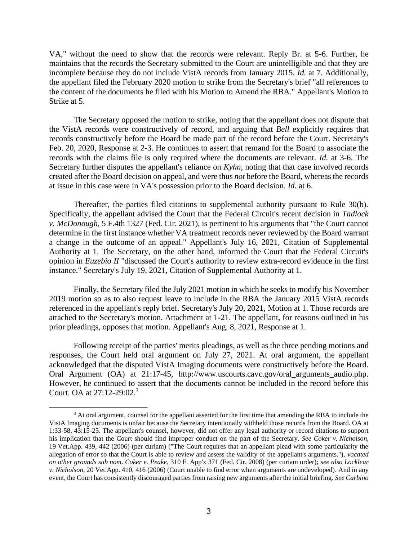VA," without the need to show that the records were relevant. Reply Br. at 5-6. Further, he maintains that the records the Secretary submitted to the Court are unintelligible and that they are incomplete because they do not include VistA records from January 2015. *Id.* at 7. Additionally, the appellant filed the February 2020 motion to strike from the Secretary's brief "all references to the content of the documents he filed with his Motion to Amend the RBA." Appellant's Motion to Strike at 5.

The Secretary opposed the motion to strike, noting that the appellant does not dispute that the VistA records were constructively of record, and arguing that *Bell* explicitly requires that records constructively before the Board be made part of the record before the Court. Secretary's Feb. 20, 2020, Response at 2-3. He continues to assert that remand for the Board to associate the records with the claims file is only required where the documents are relevant. *Id.* at 3-6. The Secretary further disputes the appellant's reliance on *Kyhn*, noting that that case involved records created after the Board decision on appeal, and were thus *not* before the Board, whereas the records at issue in this case were in VA's possession prior to the Board decision. *Id.* at 6.

Thereafter, the parties filed citations to supplemental authority pursuant to Rule 30(b). Specifically, the appellant advised the Court that the Federal Circuit's recent decision in *Tadlock v. McDonough*, 5 F.4th 1327 (Fed. Cir. 2021), is pertinent to his arguments that "the Court cannot determine in the first instance whether VA treatment records never reviewed by the Board warrant a change in the outcome of an appeal." Appellant's July 16, 2021, Citation of Supplemental Authority at 1. The Secretary, on the other hand, informed the Court that the Federal Circuit's opinion in *Euzebio II* "discussed the Court's authority to review extra-record evidence in the first instance." Secretary's July 19, 2021, Citation of Supplemental Authority at 1.

Finally, the Secretary filed the July 2021 motion in which he seeks to modify his November 2019 motion so as to also request leave to include in the RBA the January 2015 VistA records referenced in the appellant's reply brief. Secretary's July 20, 2021, Motion at 1. Those records are attached to the Secretary's motion. Attachment at 1-21. The appellant, for reasons outlined in his prior pleadings, opposes that motion. Appellant's Aug. 8, 2021, Response at 1.

Following receipt of the parties' merits pleadings, as well as the three pending motions and responses, the Court held oral argument on July 27, 2021. At oral argument, the appellant acknowledged that the disputed VistA Imaging documents were constructively before the Board. Oral Argument (OA) at 21:17-45, http://www.uscourts.cavc.gov/oral\_arguments\_audio.php. However, he continued to assert that the documents cannot be included in the record before this Court. OA at 27:12-29:02.<sup>3</sup>

<sup>&</sup>lt;sup>3</sup> At oral argument, counsel for the appellant asserted for the first time that amending the RBA to include the VistA Imaging documents is unfair because the Secretary intentionally withheld those records from the Board. OA at 1:33-58, 43:15-25. The appellant's counsel, however, did not offer any legal authority or record citations to support his implication that the Court should find improper conduct on the part of the Secretary. *See Coker v. Nicholson*, 19 Vet.App. 439, 442 (2006) (per curiam) ("The Court requires that an appellant plead with some particularity the allegation of error so that the Court is able to review and assess the validity of the appellant's arguments."), *vacated on other grounds sub nom. Coker v. Peake*, 310 F. App'x 371 (Fed. Cir. 2008) (per curiam order); *see also Locklear v. Nicholson*, 20 Vet.App. 410, 416 (2006) (Court unable to find error when arguments are undeveloped). And in any event, the Court has consistently discouraged parties from raising new arguments after the initial briefing. *See Carbino*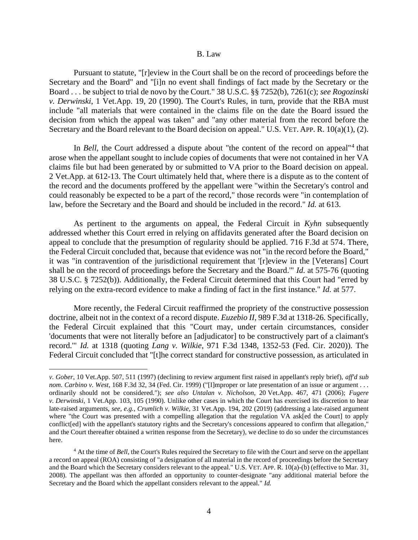#### B. Law

Pursuant to statute, "[r]eview in the Court shall be on the record of proceedings before the Secretary and the Board" and "[i]n no event shall findings of fact made by the Secretary or the Board . . . be subject to trial de novo by the Court." 38 U.S.C. §§ 7252(b), 7261(c); *see Rogozinski v. Derwinski*, 1 Vet.App. 19, 20 (1990). The Court's Rules, in turn, provide that the RBA must include "all materials that were contained in the claims file on the date the Board issued the decision from which the appeal was taken" and "any other material from the record before the Secretary and the Board relevant to the Board decision on appeal." U.S. VET. APP. R. 10(a)(1), (2).

In *Bell*, the Court addressed a dispute about "the content of the record on appeal"<sup>4</sup> that arose when the appellant sought to include copies of documents that were not contained in her VA claims file but had been generated by or submitted to VA prior to the Board decision on appeal. 2 Vet.App. at 612-13. The Court ultimately held that, where there is a dispute as to the content of the record and the documents proffered by the appellant were "within the Secretary's control and could reasonably be expected to be a part of the record," those records were "in contemplation of law, before the Secretary and the Board and should be included in the record." *Id.* at 613.

As pertinent to the arguments on appeal, the Federal Circuit in *Kyhn* subsequently addressed whether this Court erred in relying on affidavits generated after the Board decision on appeal to conclude that the presumption of regularity should be applied. 716 F.3d at 574. There, the Federal Circuit concluded that, because that evidence was not "in the record before the Board," it was "in contravention of the jurisdictional requirement that '[r]eview in the [Veterans] Court shall be on the record of proceedings before the Secretary and the Board.'" *Id.* at 575-76 (quoting 38 U.S.C. § 7252(b)). Additionally, the Federal Circuit determined that this Court had "erred by relying on the extra-record evidence to make a finding of fact in the first instance." *Id.* at 577.

More recently, the Federal Circuit reaffirmed the propriety of the constructive possession doctrine, albeit not in the context of a record dispute. *Euzebio II*, 989 F.3d at 1318-26. Specifically, the Federal Circuit explained that this "Court may, under certain circumstances, consider 'documents that were not literally before an [adjudicator] to be constructively part of a claimant's record.'" *Id.* at 1318 (quoting *Lang v. Wilkie*, 971 F.3d 1348, 1352-53 (Fed. Cir. 2020)). The Federal Circuit concluded that "[t]he correct standard for constructive possession, as articulated in

*v. Gober*, 10 Vet.App. 507, 511 (1997) (declining to review argument first raised in appellant's reply brief), *aff'd sub nom. Carbino v. West*, 168 F.3d 32, 34 (Fed. Cir. 1999) ("[I]mproper or late presentation of an issue or argument . . . ordinarily should not be considered."); *see also Untalan v. Nicholson*, 20 Vet.App. 467, 471 (2006); *Fugere v. Derwinski*, 1 Vet.App. 103, 105 (1990). Unlike other cases in which the Court has exercised its discretion to hear late-raised arguments, *see, e.g.*, *Crumlich v. Wilkie*, 31 Vet.App. 194, 202 (2019) (addressing a late-raised argument where "the Court was presented with a compelling allegation that the regulation VA ask[ed the Court] to apply conflict[ed] with the appellant's statutory rights and the Secretary's concessions appeared to confirm that allegation," and the Court thereafter obtained a written response from the Secretary), we decline to do so under the circumstances here.

<sup>4</sup> At the time of *Bell*, the Court's Rules required the Secretary to file with the Court and serve on the appellant a record on appeal (ROA) consisting of "a designation of all material in the record of proceedings before the Secretary and the Board which the Secretary considers relevant to the appeal." U.S. VET. APP. R. 10(a)-(b) (effective to Mar. 31, 2008). The appellant was then afforded an opportunity to counter-designate "any additional material before the Secretary and the Board which the appellant considers relevant to the appeal." *Id.*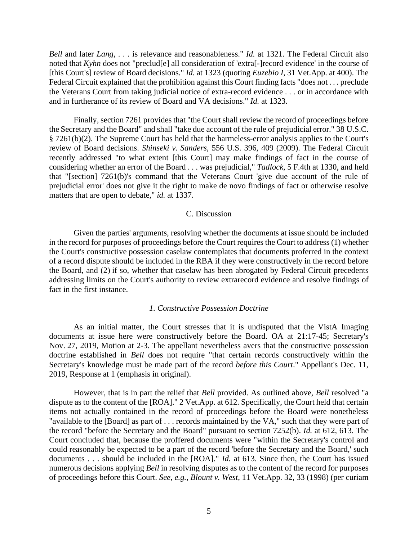*Bell* and later *Lang*, . . . is relevance and reasonableness." *Id.* at 1321. The Federal Circuit also noted that *Kyhn* does not "preclud<sup>[e]</sup> all consideration of 'extra<sup>[-</sup>]record evidence' in the course of [this Court's] review of Board decisions." *Id.* at 1323 (quoting *Euzebio I*, 31 Vet.App. at 400). The Federal Circuit explained that the prohibition against this Court finding facts "does not . . . preclude the Veterans Court from taking judicial notice of extra-record evidence . . . or in accordance with and in furtherance of its review of Board and VA decisions." *Id.* at 1323.

Finally, section 7261 provides that "the Court shall review the record of proceedings before the Secretary and the Board" and shall "take due account of the rule of prejudicial error." 38 U.S.C. § 7261(b)(2). The Supreme Court has held that the harmeless-error analysis applies to the Court's review of Board decisions. *Shinseki v. Sanders*, 556 U.S. 396, 409 (2009). The Federal Circuit recently addressed "to what extent [this Court] may make findings of fact in the course of considering whether an error of the Board . . . was prejudicial," *Tadlock*, 5 F.4th at 1330, and held that "[section] 7261(b)'s command that the Veterans Court 'give due account of the rule of prejudicial error' does not give it the right to make de novo findings of fact or otherwise resolve matters that are open to debate," *id.* at 1337.

### C. Discussion

Given the parties' arguments, resolving whether the documents at issue should be included in the record for purposes of proceedings before the Court requires the Court to address (1) whether the Court's constructive possession caselaw contemplates that documents proferred in the context of a record dispute should be included in the RBA if they were constructively in the record before the Board, and (2) if so, whether that caselaw has been abrogated by Federal Circuit precedents addressing limits on the Court's authority to review extrarecord evidence and resolve findings of fact in the first instance.

## *1. Constructive Possession Doctrine*

As an initial matter, the Court stresses that it is undisputed that the VistA Imaging documents at issue here were constructively before the Board. OA at 21:17-45; Secretary's Nov. 27, 2019, Motion at 2-3. The appellant nevertheless avers that the constructive possession doctrine established in *Bell* does not require "that certain records constructively within the Secretary's knowledge must be made part of the record *before this Court*." Appellant's Dec. 11, 2019, Response at 1 (emphasis in original).

However, that is in part the relief that *Bell* provided. As outlined above, *Bell* resolved "a dispute as to the content of the [ROA]." 2 Vet.App. at 612. Specifically, the Court held that certain items not actually contained in the record of proceedings before the Board were nonetheless "available to the [Board] as part of . . . records maintained by the VA," such that they were part of the record "before the Secretary and the Board" pursuant to section 7252(b). *Id.* at 612, 613. The Court concluded that, because the proffered documents were "within the Secretary's control and could reasonably be expected to be a part of the record 'before the Secretary and the Board,' such documents . . . should be included in the [ROA]." *Id.* at 613. Since then, the Court has issued numerous decisions applying *Bell* in resolving disputes as to the content of the record for purposes of proceedings before this Court. *See, e.g.*, *Blount v. West*, 11 Vet.App. 32, 33 (1998) (per curiam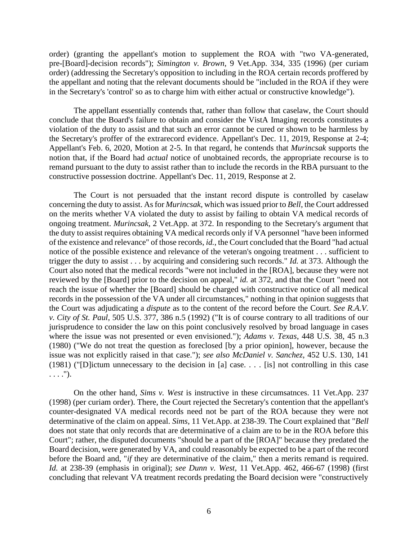order) (granting the appellant's motion to supplement the ROA with "two VA-generated, pre-[Board]-decision records"); *Simington v. Brown*, 9 Vet.App. 334, 335 (1996) (per curiam order) (addressing the Secretary's opposition to including in the ROA certain records proffered by the appellant and noting that the relevant documents should be "included in the ROA if they were in the Secretary's 'control' so as to charge him with either actual or constructive knowledge").

The appellant essentially contends that, rather than follow that caselaw, the Court should conclude that the Board's failure to obtain and consider the VistA Imaging records constitutes a violation of the duty to assist and that such an error cannot be cured or shown to be harmless by the Secretary's proffer of the extrarecord evidence. Appellant's Dec. 11, 2019, Response at 2-4; Appellant's Feb. 6, 2020, Motion at 2-5. In that regard, he contends that *Murincsak* supports the notion that, if the Board had *actual* notice of unobtained records, the appropriate recourse is to remand pursuant to the duty to assist rather than to include the records in the RBA pursuant to the constructive possession doctrine. Appellant's Dec. 11, 2019, Response at 2.

The Court is not persuaded that the instant record dispute is controlled by caselaw concerning the duty to assist. As for *Murincsak*, which was issued prior to *Bell*, the Court addressed on the merits whether VA violated the duty to assist by failing to obtain VA medical records of ongoing treatment. *Murincsak*, 2 Vet.App. at 372. In responding to the Secretary's argument that the duty to assist requires obtaining VA medical records only if VA personnel "have been informed of the existence and relevance" of those records, *id.*, the Court concluded that the Board "had actual notice of the possible existence and relevance of the veteran's ongoing treatment . . . sufficient to trigger the duty to assist . . . by acquiring and considering such records." *Id.* at 373. Although the Court also noted that the medical records "were not included in the [ROA], because they were not reviewed by the [Board] prior to the decision on appeal," *id.* at 372, and that the Court "need not reach the issue of whether the [Board] should be charged with constructive notice of all medical records in the possession of the VA under all circumstances," nothing in that opinion suggests that the Court was adjudicating a *dispute* as to the content of the record before the Court. *See R.A.V. v. City of St. Paul*, 505 U.S. 377, 386 n.5 (1992) ("It is of course contrary to all traditions of our jurisprudence to consider the law on this point conclusively resolved by broad language in cases where the issue was not presented or even envisioned."); *Adams v. Texas*, 448 U.S. 38, 45 n.3 (1980) ("We do not treat the question as foreclosed [by a prior opinion], however, because the issue was not explicitly raised in that case."); *see also McDaniel v. Sanchez*, 452 U.S. 130, 141 (1981) ("[D]ictum unnecessary to the decision in [a] case. . . . [is] not controlling in this case  $\ldots$ .").

On the other hand, *Sims v. West* is instructive in these circumsatnces. 11 Vet.App. 237 (1998) (per curiam order). There, the Court rejected the Secretary's contention that the appellant's counter-designated VA medical records need not be part of the ROA because they were not determinative of the claim on appeal. *Sims*, 11 Vet.App. at 238-39. The Court explained that "*Bell* does not state that only records that are determinative of a claim are to be in the ROA before this Court"; rather, the disputed documents "should be a part of the [ROA]" because they predated the Board decision, were generated by VA, and could reasonably be expected to be a part of the record before the Board and, "*if* they are determinative of the claim," then a merits remand is required. *Id.* at 238-39 (emphasis in original); *see Dunn v. West*, 11 Vet.App. 462, 466-67 (1998) (first concluding that relevant VA treatment records predating the Board decision were "constructively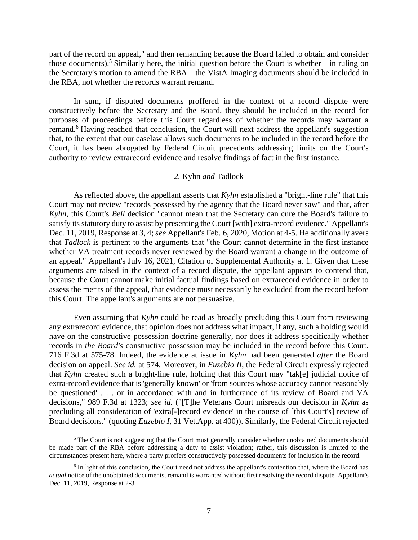part of the record on appeal," and then remanding because the Board failed to obtain and consider those documents). <sup>5</sup> Similarly here, the initial question before the Court is whether—in ruling on the Secretary's motion to amend the RBA—the VistA Imaging documents should be included in the RBA, not whether the records warrant remand.

In sum, if disputed documents proffered in the context of a record dispute were constructively before the Secretary and the Board, they should be included in the record for purposes of proceedings before this Court regardless of whether the records may warrant a remand.<sup>6</sup> Having reached that conclusion, the Court will next address the appellant's suggestion that, to the extent that our caselaw allows such documents to be included in the record before the Court, it has been abrogated by Federal Circuit precedents addressing limits on the Court's authority to review extrarecord evidence and resolve findings of fact in the first instance.

## *2.* Kyhn *and* Tadlock

As reflected above, the appellant asserts that *Kyhn* established a "bright-line rule" that this Court may not review "records possessed by the agency that the Board never saw" and that, after *Kyhn*, this Court's *Bell* decision "cannot mean that the Secretary can cure the Board's failure to satisfy its statutory duty to assist by presenting the Court [with] extra-record evidence." Appellant's Dec. 11, 2019, Response at 3, 4; *see* Appellant's Feb. 6, 2020, Motion at 4-5. He additionally avers that *Tadlock* is pertinent to the arguments that "the Court cannot determine in the first instance whether VA treatment records never reviewed by the Board warrant a change in the outcome of an appeal." Appellant's July 16, 2021, Citation of Supplemental Authority at 1. Given that these arguments are raised in the context of a record dispute, the appellant appears to contend that, because the Court cannot make initial factual findings based on extrarecord evidence in order to assess the merits of the appeal, that evidence must necessarily be excluded from the record before this Court. The appellant's arguments are not persuasive.

Even assuming that *Kyhn* could be read as broadly precluding this Court from reviewing any extrarecord evidence, that opinion does not address what impact, if any, such a holding would have on the constructive possession doctrine generally, nor does it address specifically whether records in *the Board's* constructive possession may be included in the record before this Court. 716 F.3d at 575-78. Indeed, the evidence at issue in *Kyhn* had been generated *after* the Board decision on appeal. *See id.* at 574. Moreover, in *Euzebio II*, the Federal Circuit expressly rejected that *Kyhn* created such a bright-line rule, holding that this Court may "tak[e] judicial notice of extra-record evidence that is 'generally known' or 'from sources whose accuracy cannot reasonably be questioned' . . . or in accordance with and in furtherance of its review of Board and VA decisions," 989 F.3d at 1323; *see id.* ("[T]he Veterans Court misreads our decision in *Kyhn* as precluding all consideration of 'extra[-]record evidence' in the course of [this Court's] review of Board decisions." (quoting *Euzebio I*, 31 Vet.App. at 400)). Similarly, the Federal Circuit rejected

<sup>&</sup>lt;sup>5</sup> The Court is not suggesting that the Court must generally consider whether unobtained documents should be made part of the RBA before addressing a duty to assist violation; rather, this discussion is limited to the circumstances present here, where a party proffers constructively possessed documents for inclusion in the record.

<sup>&</sup>lt;sup>6</sup> In light of this conclusion, the Court need not address the appellant's contention that, where the Board has *actual* notice of the unobtained documents, remand is warranted without first resolving the record dispute. Appellant's Dec. 11, 2019, Response at 2-3.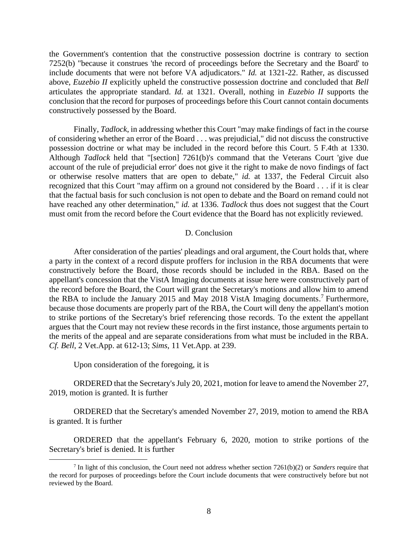the Government's contention that the constructive possession doctrine is contrary to section 7252(b) "because it construes 'the record of proceedings before the Secretary and the Board' to include documents that were not before VA adjudicators." *Id.* at 1321-22. Rather, as discussed above, *Euzebio II* explicitly upheld the constructive possession doctrine and concluded that *Bell* articulates the appropriate standard. *Id.* at 1321. Overall, nothing in *Euzebio II* supports the conclusion that the record for purposes of proceedings before this Court cannot contain documents constructively possessed by the Board.

Finally, *Tadlock*, in addressing whether this Court "may make findings of fact in the course of considering whether an error of the Board . . . was prejudicial," did not discuss the constructive possession doctrine or what may be included in the record before this Court. 5 F.4th at 1330. Although *Tadlock* held that "[section] 7261(b)'s command that the Veterans Court 'give due account of the rule of prejudicial error' does not give it the right to make de novo findings of fact or otherwise resolve matters that are open to debate," *id.* at 1337, the Federal Circuit also recognized that this Court "may affirm on a ground not considered by the Board . . . if it is clear that the factual basis for such conclusion is not open to debate and the Board on remand could not have reached any other determination," *id.* at 1336. *Tadlock* thus does not suggest that the Court must omit from the record before the Court evidence that the Board has not explicitly reviewed.

### D. Conclusion

After consideration of the parties' pleadings and oral argument, the Court holds that, where a party in the context of a record dispute proffers for inclusion in the RBA documents that were constructively before the Board, those records should be included in the RBA. Based on the appellant's concession that the VistA Imaging documents at issue here were constructively part of the record before the Board, the Court will grant the Secretary's motions and allow him to amend the RBA to include the January 2015 and May 2018 VistA Imaging documents.<sup>7</sup> Furthermore, because those documents are properly part of the RBA, the Court will deny the appellant's motion to strike portions of the Secretary's brief referencing those records. To the extent the appellant argues that the Court may not review these records in the first instance, those arguments pertain to the merits of the appeal and are separate considerations from what must be included in the RBA. *Cf. Bell*, 2 Vet.App. at 612-13; *Sims*, 11 Vet.App. at 239.

Upon consideration of the foregoing, it is

ORDERED that the Secretary's July 20, 2021, motion for leave to amend the November 27, 2019, motion is granted. It is further

ORDERED that the Secretary's amended November 27, 2019, motion to amend the RBA is granted. It is further

ORDERED that the appellant's February 6, 2020, motion to strike portions of the Secretary's brief is denied. It is further

<sup>7</sup> In light of this conclusion, the Court need not address whether section 7261(b)(2) or *Sanders* require that the record for purposes of proceedings before the Court include documents that were constructively before but not reviewed by the Board.